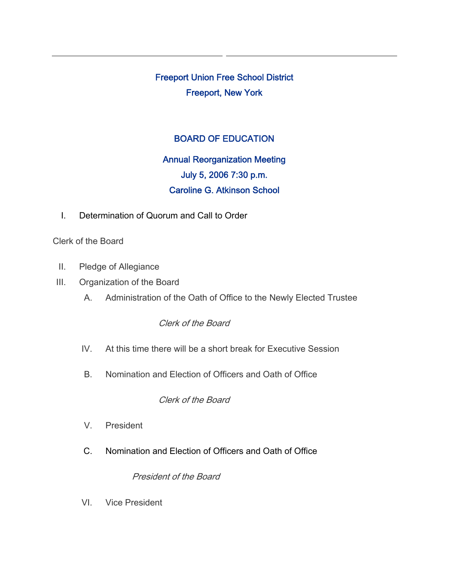Freeport Union Free School District Freeport, New York

## BOARD OF EDUCATION

# Annual Reorganization Meeting July 5, 2006 7:30 p.m. Caroline G. Atkinson School

I. Determination of Quorum and Call to Order

Clerk of the Board

- II. Pledge of Allegiance
- III. Organization of the Board
	- A. Administration of the Oath of Office to the Newly Elected Trustee

## Clerk of the Board

- IV. At this time there will be a short break for Executive Session
- B. Nomination and Election of Officers and Oath of Office

#### Clerk of the Board

- V. President
- C. Nomination and Election of Officers and Oath of Office

#### President of the Board

VI. Vice President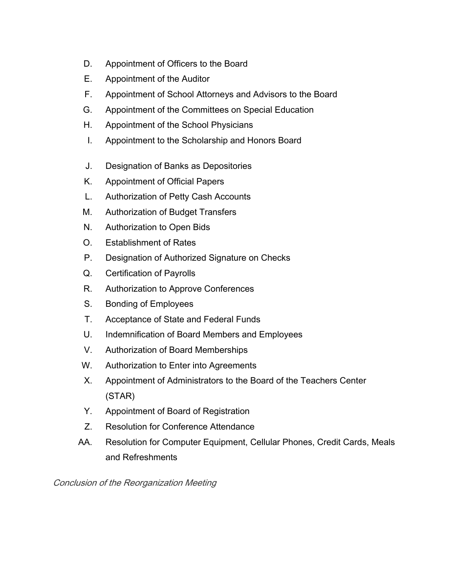- D. Appointment of Officers to the Board
- E. Appointment of the Auditor
- F. Appointment of School Attorneys and Advisors to the Board
- G. Appointment of the Committees on Special Education
- H. Appointment of the School Physicians
- I. Appointment to the Scholarship and Honors Board
- J. Designation of Banks as Depositories
- K. Appointment of Official Papers
- L. Authorization of Petty Cash Accounts
- M. Authorization of Budget Transfers
- N. Authorization to Open Bids
- O. Establishment of Rates
- P. Designation of Authorized Signature on Checks
- Q. Certification of Payrolls
- R. Authorization to Approve Conferences
- S. Bonding of Employees
- T. Acceptance of State and Federal Funds
- U. Indemnification of Board Members and Employees
- V. Authorization of Board Memberships
- W. Authorization to Enter into Agreements
- X. Appointment of Administrators to the Board of the Teachers Center (STAR)
- Y. Appointment of Board of Registration
- Z. Resolution for Conference Attendance
- AA. Resolution for Computer Equipment, Cellular Phones, Credit Cards, Meals and Refreshments

Conclusion of the Reorganization Meeting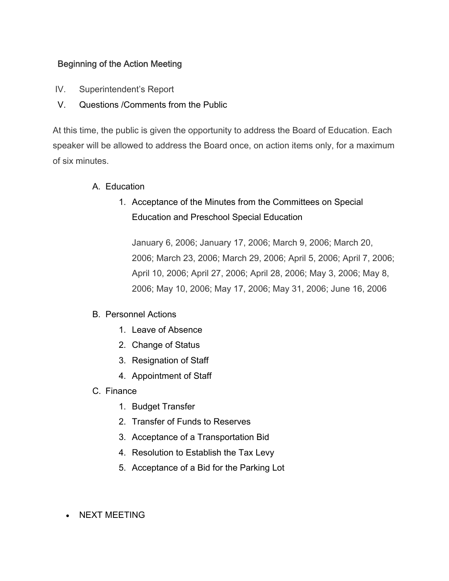## Beginning of the Action Meeting

- IV. Superintendent's Report
- V. Questions /Comments from the Public

At this time, the public is given the opportunity to address the Board of Education. Each speaker will be allowed to address the Board once, on action items only, for a maximum of six minutes.

- A. Education
	- 1. Acceptance of the Minutes from the Committees on Special Education and Preschool Special Education

January 6, 2006; January 17, 2006; March 9, 2006; March 20, 2006; March 23, 2006; March 29, 2006; April 5, 2006; April 7, 2006; April 10, 2006; April 27, 2006; April 28, 2006; May 3, 2006; May 8, 2006; May 10, 2006; May 17, 2006; May 31, 2006; June 16, 2006

## B. Personnel Actions

- 1. Leave of Absence
- 2. Change of Status
- 3. Resignation of Staff
- 4. Appointment of Staff
- C. Finance
	- 1. Budget Transfer
	- 2. Transfer of Funds to Reserves
	- 3. Acceptance of a Transportation Bid
	- 4. Resolution to Establish the Tax Levy
	- 5. Acceptance of a Bid for the Parking Lot
- NEXT MEETING